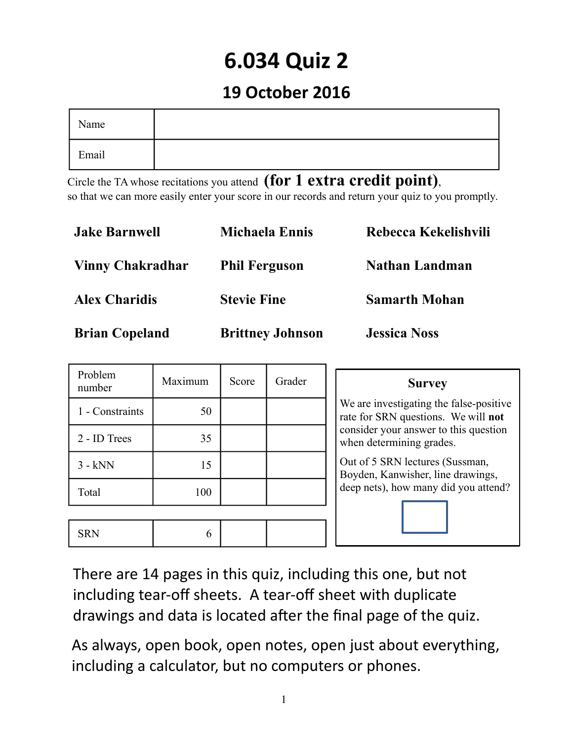# **6.034 Quiz 2**

## **19 October 2016**

| Name  |  |
|-------|--|
| Email |  |

Circle the TA whose recitations you attend **(for 1 extra credit point)**, so that we can more easily enter your score in our records and return your quiz to you promptly.

| <b>Jake Barnwell</b>    | <b>Michaela Ennis</b>   | Rebecca Kekelishvili  |
|-------------------------|-------------------------|-----------------------|
| <b>Vinny Chakradhar</b> | <b>Phil Ferguson</b>    | <b>Nathan Landman</b> |
| <b>Alex Charidis</b>    | <b>Stevie Fine</b>      | <b>Samarth Mohan</b>  |
| <b>Brian Copeland</b>   | <b>Brittney Johnson</b> | <b>Jessica Noss</b>   |

| Problem<br>number | Maximum | Score | Grader | <b>Survey</b>                                                                  |
|-------------------|---------|-------|--------|--------------------------------------------------------------------------------|
| 1 - Constraints   | 50      |       |        | We are investigating the false-positive<br>rate for SRN questions. We will not |
| 2 - ID Trees      | 35      |       |        | consider your answer to this question<br>when determining grades.              |
| $3 - kNN$         | 15      |       |        | Out of 5 SRN lectures (Sussman,<br>Boyden, Kanwisher, line drawings,           |
| Total             | 100     |       |        | deep nets), how many did you attend?                                           |
|                   |         |       |        |                                                                                |
| <b>SRN</b>        | 6       |       |        |                                                                                |

There are 14 pages in this quiz, including this one, but not including tear-off sheets. A tear-off sheet with duplicate drawings and data is located after the final page of the quiz.

As always, open book, open notes, open just about everything, including a calculator, but no computers or phones.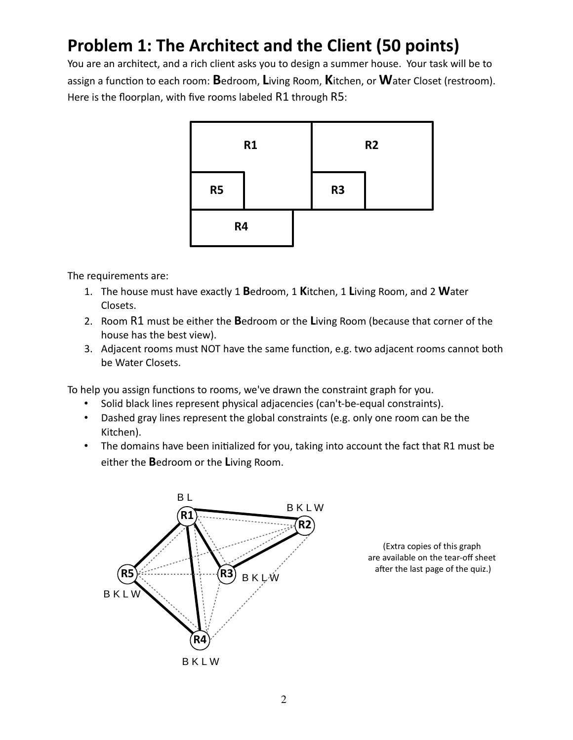## **Problem 1: The Architect and the Client (50 points)**

You are an architect, and a rich client asks you to design a summer house. Your task will be to assign a function to each room: **B**edroom, **L**iving Room, **K**itchen, or **W**ater Closet (restroom). Here is the floorplan, with five rooms labeled R1 through R5:



The requirements are:

- 1. The house must have exactly 1 **B**edroom, 1 **K**itchen, 1 **L**iving Room, and 2 **W**ater Closets.
- 2. Room R1 must be either the **B**edroom or the **L**iving Room (because that corner of the house has the best view).
- 3. Adjacent rooms must NOT have the same function, e.g. two adjacent rooms cannot both be Water Closets.

To help you assign functions to rooms, we've drawn the constraint graph for you.

- Solid black lines represent physical adjacencies (can't-be-equal constraints).
- Dashed gray lines represent the global constraints (e.g. only one room can be the Kitchen).
- The domains have been initialized for you, taking into account the fact that R1 must be either the **B**edroom or the **L**iving Room.



(Extra copies of this graph are available on the tear-off sheet after the last page of the quiz.)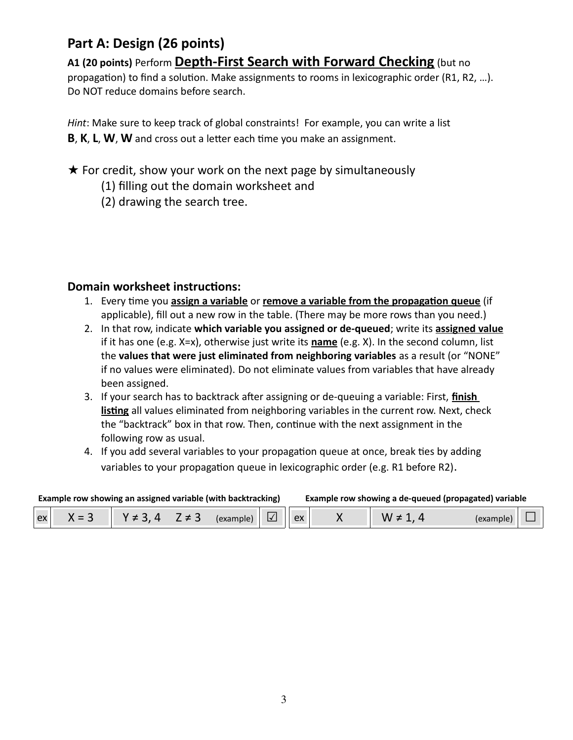## **Part A: Design (26 points)**

#### **A1 (20 points)** Perform **Depth-First Search with Forward Checking** (but no

propagation) to find a solution. Make assignments to rooms in lexicographic order (R1, R2, …). Do NOT reduce domains before search.

*Hint*: Make sure to keep track of global constraints! For example, you can write a list **B**, **K**, **L**, **W**, **W** and cross out a letter each time you make an assignment.

#### $\star$  For credit, show your work on the next page by simultaneously

- (1) filling out the domain worksheet and
- (2) drawing the search tree.

#### **Domain worksheet instructions:**

- 1. Every time you **assign a variable** or **remove a variable from the propagation queue** (if applicable), fill out a new row in the table. (There may be more rows than you need.)
- 2. In that row, indicate **which variable you assigned or de-queued**; write its **assigned value** if it has one (e.g. X=x), otherwise just write its **name** (e.g. X). In the second column, list the **values that were just eliminated from neighboring variables** as a result (or "NONE" if no values were eliminated). Do not eliminate values from variables that have already been assigned.
- 3. If your search has to backtrack after assigning or de-queuing a variable: First, **finish listing** all values eliminated from neighboring variables in the current row. Next, check the "backtrack" box in that row. Then, continue with the next assignment in the following row as usual.
- 4. If you add several variables to your propagation queue at once, break ties by adding variables to your propagation queue in lexicographic order (e.g. R1 before R2).

**Example row showing an assigned variable (with backtracking) Example row showing a de-queued (propagated) variable**

| <b>Example TOW SHOWING an assigned variable (With Dacktracking)</b> |  |                |  |                      | Example TOW Showing a de-queded (propagated) variable |  |  |  |
|---------------------------------------------------------------------|--|----------------|--|----------------------|-------------------------------------------------------|--|--|--|
| ex                                                                  |  | $V \neq 3$ $A$ |  | $Z \neq 3$ (example) |                                                       |  |  |  |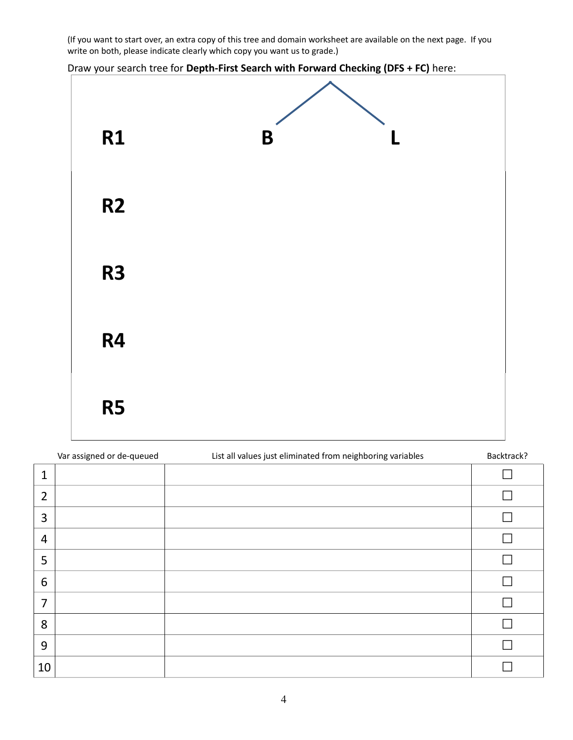(If you want to start over, an extra copy of this tree and domain worksheet are available on the next page. If you write on both, please indicate clearly which copy you want us to grade.)

Draw your search tree for **Depth-First Search with Forward Checking (DFS + FC)** here:



|                | Var assigned or de-queued | List all values just eliminated from neighboring variables | Backtrack? |
|----------------|---------------------------|------------------------------------------------------------|------------|
| $\mathbf{1}$   |                           |                                                            |            |
| $\overline{2}$ |                           |                                                            |            |
| 3              |                           |                                                            |            |
| 4              |                           |                                                            |            |
| 5              |                           |                                                            |            |
| 6              |                           |                                                            |            |
| $\overline{7}$ |                           |                                                            |            |
| 8              |                           |                                                            |            |
| 9              |                           |                                                            |            |
| 10             |                           |                                                            |            |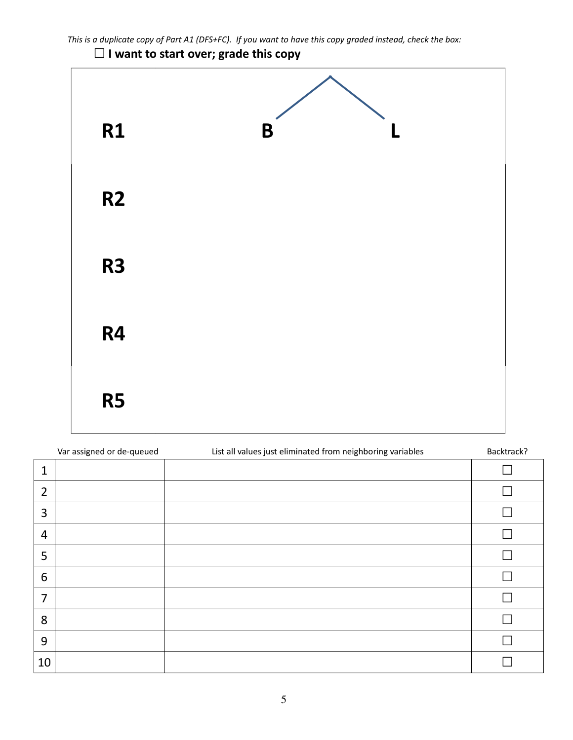

## **☐ I want to start over; grade this copy**



|                | Var assigned or de-queued | List all values just eliminated from neighboring variables | Backtrack?    |
|----------------|---------------------------|------------------------------------------------------------|---------------|
| $\mathbf{1}$   |                           |                                                            |               |
| $\overline{2}$ |                           |                                                            |               |
| 3              |                           |                                                            |               |
| $\overline{4}$ |                           |                                                            | <b>Talent</b> |
| 5              |                           |                                                            |               |
| 6              |                           |                                                            |               |
| $\overline{7}$ |                           |                                                            |               |
| 8              |                           |                                                            |               |
| 9              |                           |                                                            |               |
| 10             |                           |                                                            |               |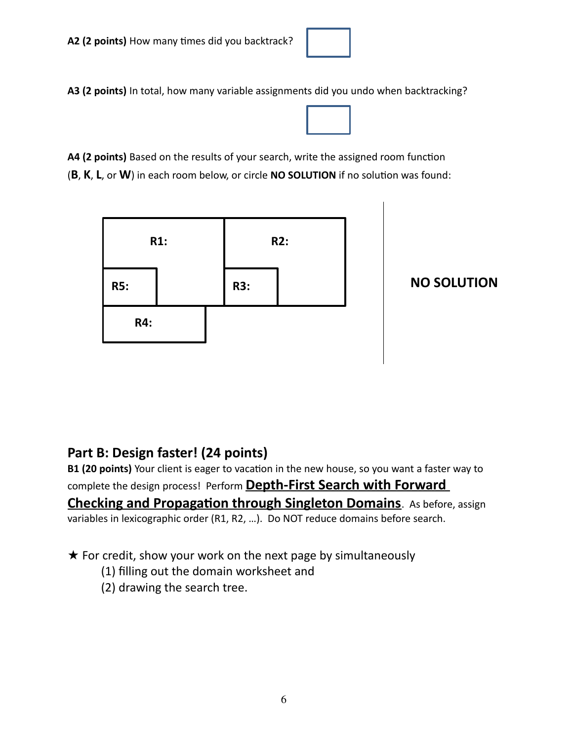**A3 (2 points)** In total, how many variable assignments did you undo when backtracking?

**A4 (2 points)** Based on the results of your search, write the assigned room function (**B**, **K**, **L**, or **W**) in each room below, or circle **NO SOLUTION** if no solution was found:



**NO SOLUTION**

### **Part B: Design faster! (24 points)**

**B1 (20 points)** Your client is eager to vacation in the new house, so you want a faster way to complete the design process! Perform **Depth-First Search with Forward Checking and Propagation through Singleton Domains**. As before, assign variables in lexicographic order (R1, R2, …). Do NOT reduce domains before search.

★ For credit, show your work on the next page by simultaneously

- (1) filling out the domain worksheet and
- (2) drawing the search tree.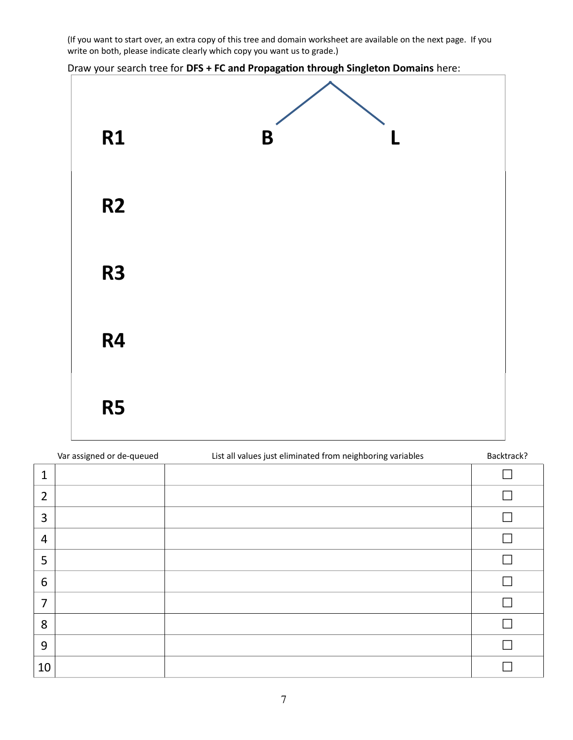(If you want to start over, an extra copy of this tree and domain worksheet are available on the next page. If you write on both, please indicate clearly which copy you want us to grade.)

Draw your search tree for **DFS + FC and Propagation through Singleton Domains** here:



|                | Var assigned or de-queued | List all values just eliminated from neighboring variables | Backtrack? |
|----------------|---------------------------|------------------------------------------------------------|------------|
| $\mathbf{1}$   |                           |                                                            |            |
| $\overline{2}$ |                           |                                                            |            |
| 3              |                           |                                                            |            |
| 4              |                           |                                                            |            |
| 5              |                           |                                                            |            |
| 6              |                           |                                                            |            |
| $\overline{7}$ |                           |                                                            |            |
| 8              |                           |                                                            |            |
| 9              |                           |                                                            |            |
| 10             |                           |                                                            |            |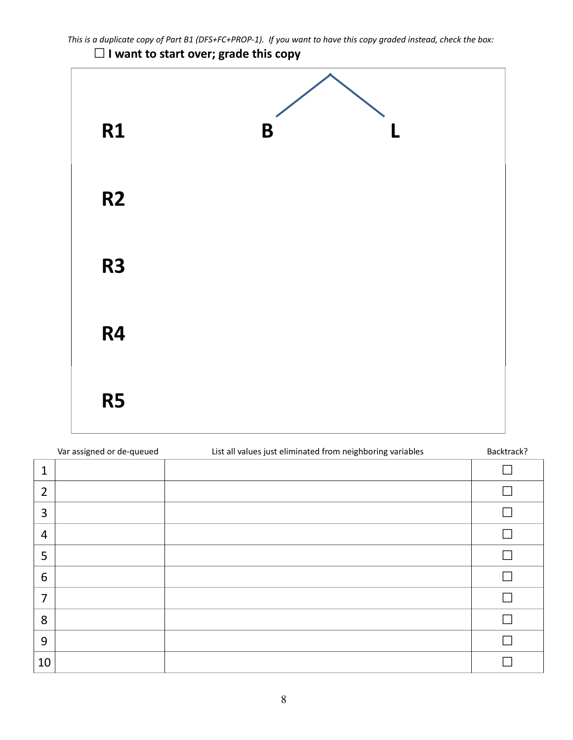

## **☐ I want to start over; grade this copy**



|                | Var assigned or de-queued | List all values just eliminated from neighboring variables | Backtrack? |
|----------------|---------------------------|------------------------------------------------------------|------------|
| $\mathbf{1}$   |                           |                                                            |            |
| $\overline{2}$ |                           |                                                            |            |
| 3              |                           |                                                            |            |
| $\overline{4}$ |                           |                                                            |            |
| 5              |                           |                                                            |            |
| 6              |                           |                                                            |            |
| $\overline{7}$ |                           |                                                            |            |
| 8              |                           |                                                            |            |
| 9              |                           |                                                            |            |
| 10             |                           |                                                            |            |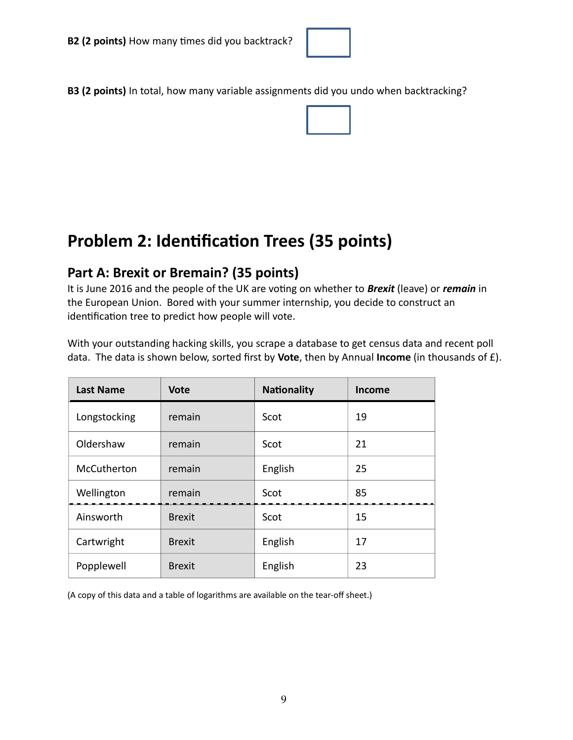

**B3 (2 points)** In total, how many variable assignments did you undo when backtracking?

## **Problem 2: Identification Trees (35 points)**

#### **Part A: Brexit or Bremain? (35 points)**

It is June 2016 and the people of the UK are voting on whether to *Brexit* (leave) or *remain* in the European Union. Bored with your summer internship, you decide to construct an identification tree to predict how people will vote.

| <b>Last Name</b> | <b>Vote</b>   | <b>Nationality</b> | <b>Income</b> |
|------------------|---------------|--------------------|---------------|
| Longstocking     | remain        | Scot               | 19            |
| Oldershaw        | remain        | Scot               | 21            |
| McCutherton      | remain        | English            | 25            |
| Wellington       | remain        | Scot               | 85            |
| Ainsworth        | <b>Brexit</b> | Scot               | 15            |
| Cartwright       | <b>Brexit</b> | English            | 17            |
| Popplewell       | <b>Brexit</b> | English            | 23            |

With your outstanding hacking skills, you scrape a database to get census data and recent poll data. The data is shown below, sorted first by **Vote**, then by Annual **Income** (in thousands of £).

(A copy of this data and a table of logarithms are available on the tear-off sheet.)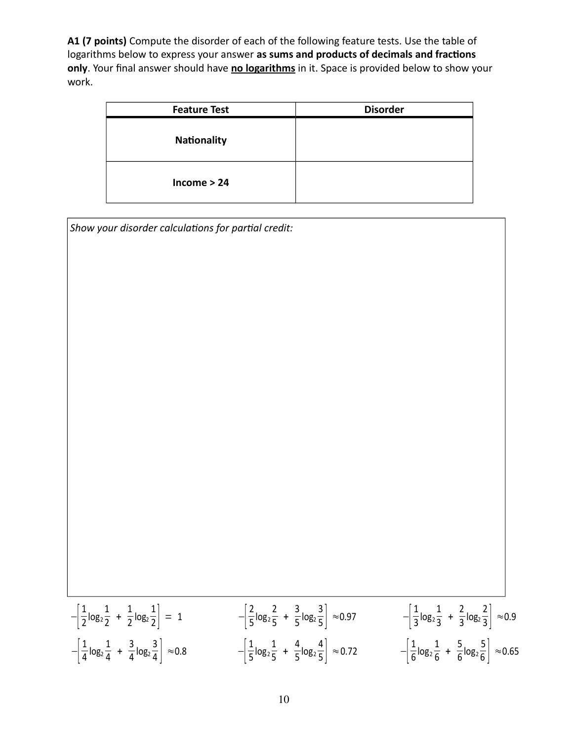**A1 (7 points)** Compute the disorder of each of the following feature tests. Use the table of logarithms below to express your answer **as sums and products of decimals and fractions only**. Your final answer should have **no logarithms** in it. Space is provided below to show your work.

| <b>Feature Test</b> | <b>Disorder</b> |
|---------------------|-----------------|
| <b>Nationality</b>  |                 |
| $Income > 24$       |                 |

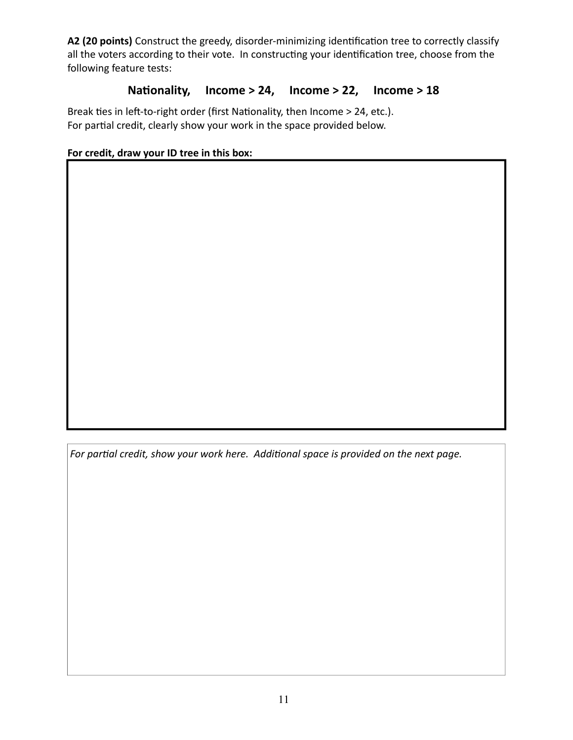**A2 (20 points)** Construct the greedy, disorder-minimizing identification tree to correctly classify all the voters according to their vote. In constructing your identification tree, choose from the following feature tests:

#### **Nationality, Income > 24, Income > 22, Income > 18**

Break ties in left-to-right order (first Nationality, then Income > 24, etc.). For partial credit, clearly show your work in the space provided below.

#### **For credit, draw your ID tree in this box:**

*For partial credit, show your work here. Additional space is provided on the next page.*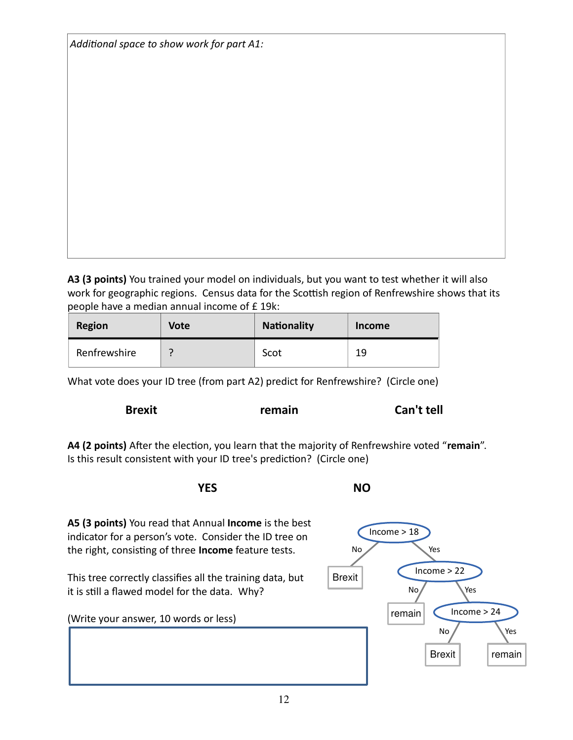| Additional space to show work for part A1: |  |  |  |  |  |
|--------------------------------------------|--|--|--|--|--|
|--------------------------------------------|--|--|--|--|--|

**A3 (3 points)** You trained your model on individuals, but you want to test whether it will also work for geographic regions. Census data for the Scottish region of Renfrewshire shows that its people have a median annual income of £ 19k:

| <b>Region</b> | <b>Vote</b>              | <b>Nationality</b> | <b>Income</b> |
|---------------|--------------------------|--------------------|---------------|
| Renfrewshire  | $\overline{\phantom{0}}$ | Scot               | 19            |

What vote does your ID tree (from part A2) predict for Renfrewshire? (Circle one)

**Brexit remain Can't tell**

**A4 (2 points)** After the election, you learn that the majority of Renfrewshire voted "**remain**". Is this result consistent with your ID tree's prediction? (Circle one)

**YES** NO

**A5 (3 points)** You read that Annual **Income** is the best indicator for a person's vote. Consider the ID tree on the right, consisting of three **Income** feature tests. This tree correctly classifies all the training data, but it is still a flawed model for the data. Why? (Write your answer, 10 words or less) **Brexit** No Income > 18 No Yes

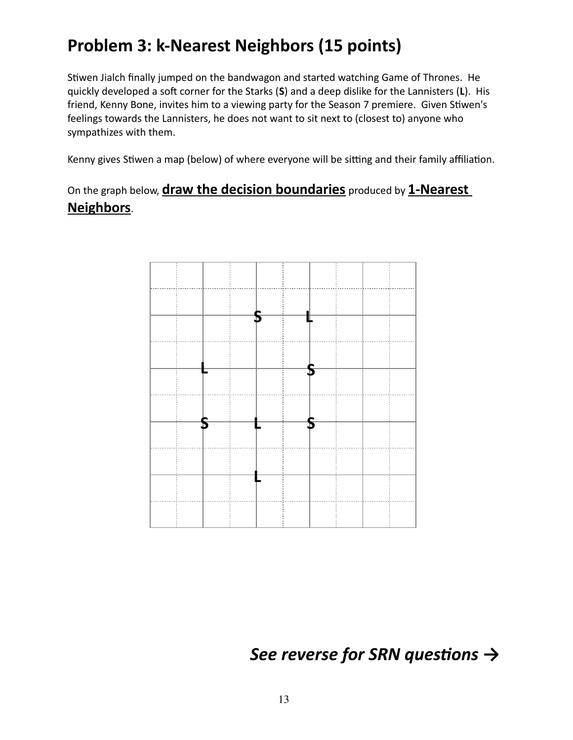## **Problem 3: k-Nearest Neighbors (15 points)**

Stiwen Jialch finally jumped on the bandwagon and started watching Game of Thrones. He quickly developed a soft corner for the Starks (**S**) and a deep dislike for the Lannisters (**L**). His friend, Kenny Bone, invites him to a viewing party for the Season 7 premiere. Given Stiwen's feelings towards the Lannisters, he does not want to sit next to (closest to) anyone who sympathizes with them.

Kenny gives Stiwen a map (below) of where everyone will be sitting and their family affiliation.

On the graph below, **draw the decision boundaries** produced by **1-Nearest Neighbors**.



*See reverse for SRN questions* **→**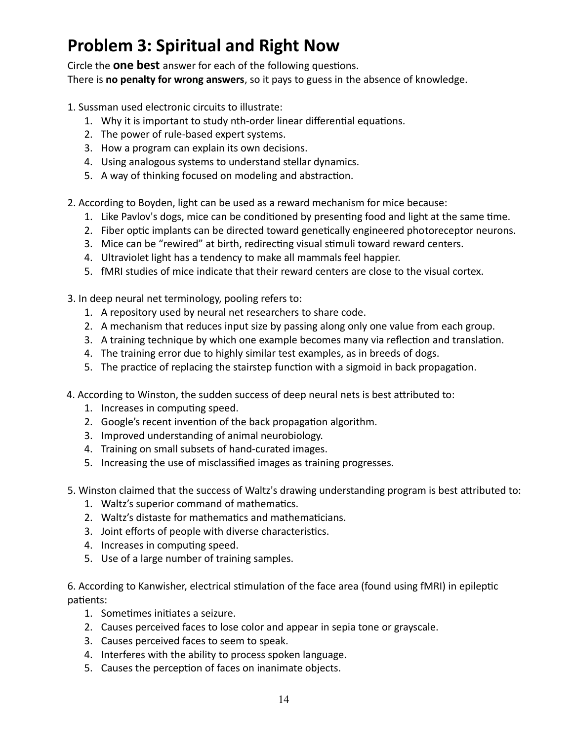## **Problem 3: Spiritual and Right Now**

Circle the **one best** answer for each of the following questions. There is **no penalty for wrong answers**, so it pays to guess in the absence of knowledge.

- 1. Sussman used electronic circuits to illustrate:
	- 1. Why it is important to study nth-order linear differential equations.
	- 2. The power of rule-based expert systems.
	- 3. How a program can explain its own decisions.
	- 4. Using analogous systems to understand stellar dynamics.
	- 5. A way of thinking focused on modeling and abstraction.
- 2. According to Boyden, light can be used as a reward mechanism for mice because:
	- 1. Like Pavlov's dogs, mice can be conditioned by presenting food and light at the same time.
	- 2. Fiber optic implants can be directed toward genetically engineered photoreceptor neurons.
	- 3. Mice can be "rewired" at birth, redirecting visual stimuli toward reward centers.
	- 4. Ultraviolet light has a tendency to make all mammals feel happier.
	- 5. fMRI studies of mice indicate that their reward centers are close to the visual cortex.
- 3. In deep neural net terminology, pooling refers to:
	- 1. A repository used by neural net researchers to share code.
	- 2. A mechanism that reduces input size by passing along only one value from each group.
	- 3. A training technique by which one example becomes many via reflection and translation.
	- 4. The training error due to highly similar test examples, as in breeds of dogs.
	- 5. The practice of replacing the stairstep function with a sigmoid in back propagation.
- 4. According to Winston, the sudden success of deep neural nets is best attributed to:
	- 1. Increases in computing speed.
	- 2. Google's recent invention of the back propagation algorithm.
	- 3. Improved understanding of animal neurobiology.
	- 4. Training on small subsets of hand-curated images.
	- 5. Increasing the use of misclassified images as training progresses.
- 5. Winston claimed that the success of Waltz's drawing understanding program is best attributed to:
	- 1. Waltz's superior command of mathematics.
	- 2. Waltz's distaste for mathematics and mathematicians.
	- 3. Joint efforts of people with diverse characteristics.
	- 4. Increases in computing speed.
	- 5. Use of a large number of training samples.

6. According to Kanwisher, electrical stimulation of the face area (found using fMRI) in epileptic patients:

- 1. Sometimes initiates a seizure.
- 2. Causes perceived faces to lose color and appear in sepia tone or grayscale.
- 3. Causes perceived faces to seem to speak.
- 4. Interferes with the ability to process spoken language.
- 5. Causes the perception of faces on inanimate objects.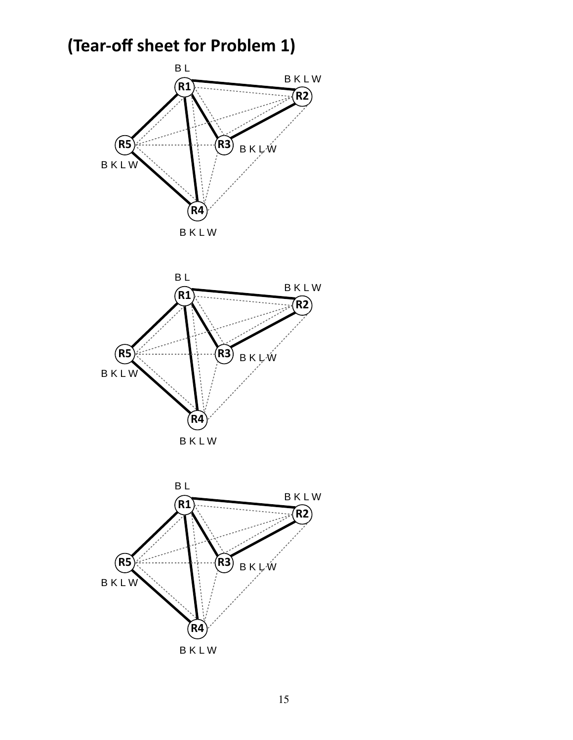## **(Tear-off sheet for Problem 1)**